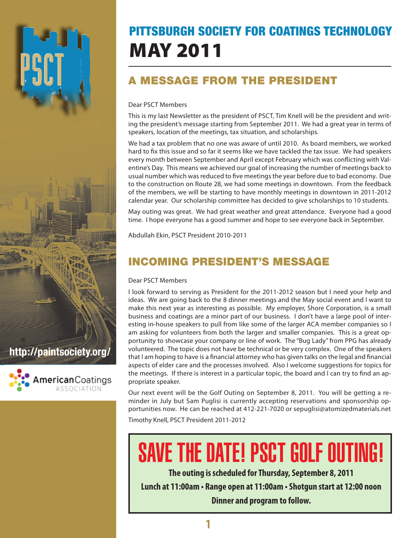## PITTSBURGH SOCIETY FOR COATINGS TECHNOLOGY MAY 2011

## A MESSAGE FROM THE PRESIDENT

#### Dear PSCT Members

This is my last Newsletter as the president of PSCT, Tim Knell will be the president and writing the president's message starting from September 2011. We had a great year in terms of speakers, location of the meetings, tax situation, and scholarships.

We had a tax problem that no one was aware of until 2010. As board members, we worked hard to fix this issue and so far it seems like we have tackled the tax issue. We had speakers every month between September and April except February which was conflicting with Valentine's Day. This means we achieved our goal of increasing the number of meetings back to usual number which was reduced to five meetings the year before due to bad economy. Due to the construction on Route 28, we had some meetings in downtown. From the feedback of the members, we will be starting to have monthly meetings in downtown in 2011-2012 calendar year. Our scholarship committee has decided to give scholarships to 10 students.

May outing was great. We had great weather and great attendance. Everyone had a good time. I hope everyone has a good summer and hope to see everyone back in September.

Abdullah Ekin, PSCT President 2010-2011

## Incoming President's Message

#### Dear PSCT Members

I look forward to serving as President for the 2011-2012 season but I need your help and ideas. We are going back to the 8 dinner meetings and the May social event and I want to make this next year as interesting as possible. My employer, Shore Corporation, is a small business and coatings are a minor part of our business. I don't have a large pool of interesting in-house speakers to pull from like some of the larger ACA member companies so I am asking for volunteers from both the larger and smaller companies. This is a great opportunity to showcase your company or line of work. The "Bug Lady" from PPG has already volunteered. The topic does not have be technical or be very complex. One of the speakers that I am hoping to have is a financial attorney who has given talks on the legal and financial aspects of elder care and the processes involved. Also I welcome suggestions for topics for the meetings. If there is interest in a particular topic, the board and I can try to find an appropriate speaker.

Our next event will be the Golf Outing on September 8, 2011. You will be getting a reminder in July but Sam Puglisi is currently accepting reservations and sponsorship opportunities now. He can be reached at 412-221-7020 or sepuglisi@atomizedmaterials.net

Timothy Knell, PSCT President 2011-2012

# SAVE THE DATE! PSCT GOLF OUTING!

**The outing is scheduled for Thursday, September 8, 2011**

**Lunch at 11:00am • Range open at 11:00am • Shotgun start at 12:00 noon Dinner and program to follow.**

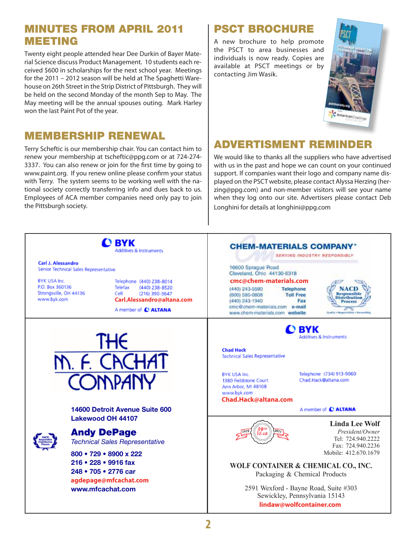#### Minutes from April 2011 Meeting

Twenty eight people attended hear Dee Durkin of Bayer Material Science discuss Product Management. 10 students each received \$600 in scholarships for the next school year. Meetings for the 2011 – 2012 season will be held at The Spaghetti Warehouse on 26th Street in the Strip District of Pittsburgh. They will be held on the second Monday of the month Sep to May. The May meeting will be the annual spouses outing. Mark Harley won the last Paint Pot of the year.

#### MEMBERSHIP RENEWAL

Terry Scheftic is our membership chair. You can contact him to renew your membership at tscheftic@ppg.com or at 724-274- 3337. You can also renew or join for the first time by going to www.paint.org. If you renew online please confirm your status with Terry. The system seems to be working well with the national society correctly transferring info and dues back to us. Employees of ACA member companies need only pay to join the Pittsburgh society.

#### psct brochure

A new brochure to help promote the PSCT to area businesses and individuals is now ready. Copies are available at PSCT meetings or by contacting Jim Wasik.



#### ADVERTISMENT REMINDER

We would like to thanks all the suppliers who have advertised with us in the past and hope we can count on your continued support. If companies want their logo and company name displayed on the PSCT website, please contact Alyssa Herzing (herzing@ppg.com) and non-member visitors will see your name when they log onto our site. Advertisers please contact Deb Longhini for details at longhini@ppg.com



**2**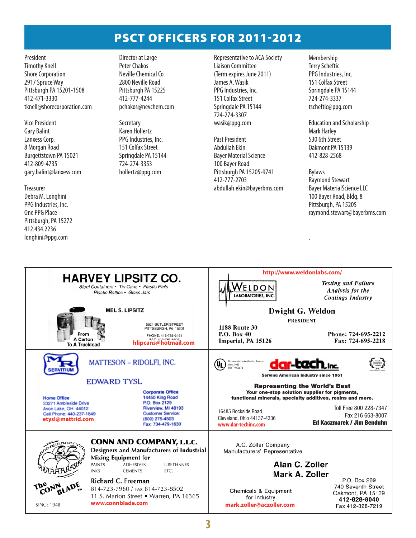### PSCT Officers for 2011-2012

President Timothy Knell Shore Corporation 2917 Spruce Way Pittsburgh PA 15201-1508 412-471-3330 tknell@shorecorporation.com

Vice President Gary Balint Lanxess Corp. 8 Morgan Road Burgettstown PA 15021 412-809-4735 gary.balint@lanxess.com

#### Treasurer

Debra M. Longhini PPG Industries, Inc. One PPG Place Pittsburgh, PA 15272 412.434.2236 longhini@ppg.com

Director at Large Peter Chakos Neville Chemical Co. 2800 Neville Road Pittsburgh PA 15225 412-777-4244 pchakos@nevchem.com

**Secretary** Karen Hollertz PPG Industries, Inc. 151 Colfax Street Springdale PA 15144 724-274-3353 hollertz@ppg.com

Representative to ACA Society Liaison Committee (Term expires June 2011) James A. Wasik PPG Industries, Inc. 151 Colfax Street Springdale PA 15144 724-274-3307 wasik@ppg.com

Past President Abdullah Ekin Bayer Material Science 100 Bayer Road Pittsburgh PA 15205-9741 412-777-2703 abdullah.ekin@bayerbms.com

Membership Terry Scheftic PPG Industries, Inc. 151 Colfax Street Springdale PA 15144 724-274-3337 tscheftic@ppg.com

Education and Scholarship Mark Harley 530 6th Street Oakmont PA 15139 412-828-2568

Bylaws Raymond Stewart Bayer MaterialScience LLC 100 Bayer Road, Bldg. 8 Pittsburgh, PA 15205 raymond.stewart@bayerbms.com

.